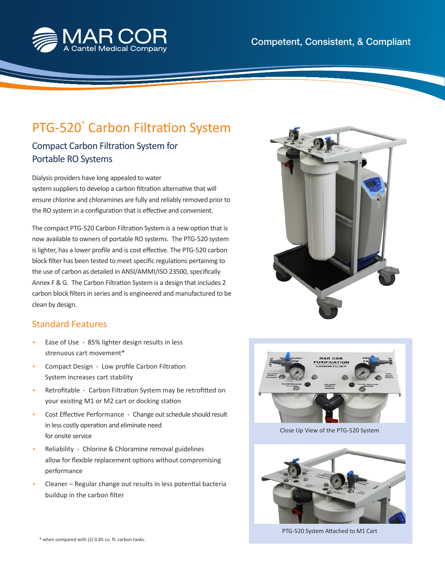

## Compact Carbon Filtration System for PTG-520° Carbon Filtration System

## Portable RO Systems

Dialysis providers have long appealed to water system suppliers to develop a carbon filtration alternative that will ensure chlorine and chloramines are fully and reliably removed prior to the RO system in a configuration that is effective and convenient.

The compact PTG-520 Carbon Filtration System is a new option that is now available to owners of portable RO systems. The PTG-520 system is lighter, has a lower profile and is cost effective. The PTG-520 carbon block filter has been tested to meet specific regulations pertaining to the use of carbon as detailed in ANSI/AMMI/ISO 23500, specifically Annex F & G. The Carbon Filtration System is a design that includes 2 carbon block filters in series and is engineered and manufactured to be clean by design.

## Standard Features

- Ease of Use 85% lighter design results in less strenuous cart movement\*
- Compact Design Low profile Carbon Filtration System increases cart stability
- Retrofitable Carbon Filtration System may be retrofitted on your existing M1 or M2 cart or docking station
- Cost Effective Performance Change out schedule should result in less costly operation and eliminate need for onsite service
- Reliability Chlorine & Chloramine removal guidelines allow for flexible replacement options without compromising performance
- Cleaner Regular change out results in less potential bacteria buildup in the carbon filter





Close Up View of the PTG-520 System



PTG-520 System Attached to M1 Cart

\* when compared with (2) 0.85 cu. ft. carbon tanks.